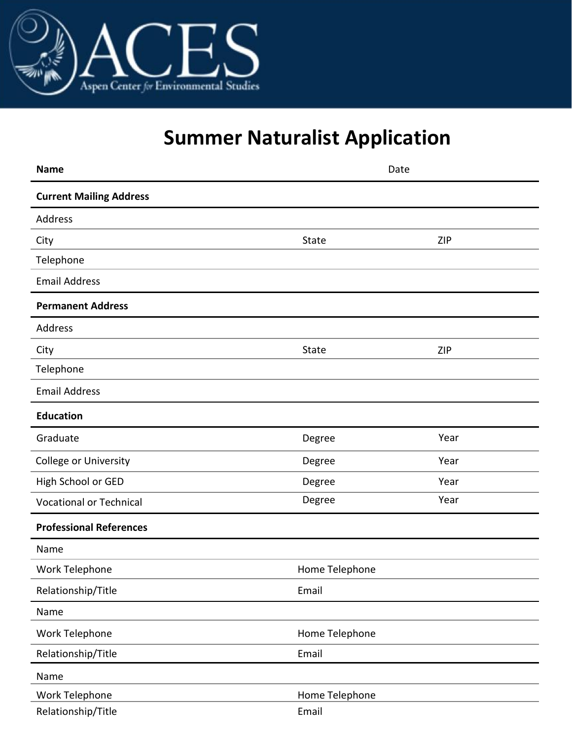

# **Summer Naturalist Application**

| <b>Name</b>                    | Date           |            |
|--------------------------------|----------------|------------|
| <b>Current Mailing Address</b> |                |            |
| Address                        |                |            |
| City                           | State          | <b>ZIP</b> |
| Telephone                      |                |            |
| <b>Email Address</b>           |                |            |
| <b>Permanent Address</b>       |                |            |
| Address                        |                |            |
| City                           | State          | ZIP        |
| Telephone                      |                |            |
| <b>Email Address</b>           |                |            |
| <b>Education</b>               |                |            |
| Graduate                       | Degree         | Year       |
| College or University          | Degree         | Year       |
| High School or GED             | Degree         | Year       |
| <b>Vocational or Technical</b> | Degree         | Year       |
| <b>Professional References</b> |                |            |
| Name                           |                |            |
| Work Telephone                 | Home Telephone |            |
| Relationship/Title             | Email          |            |
| Name                           |                |            |
| Work Telephone                 | Home Telephone |            |
| Relationship/Title             | Email          |            |
| Name                           |                |            |
| Work Telephone                 | Home Telephone |            |
| Relationship/Title             | Email          |            |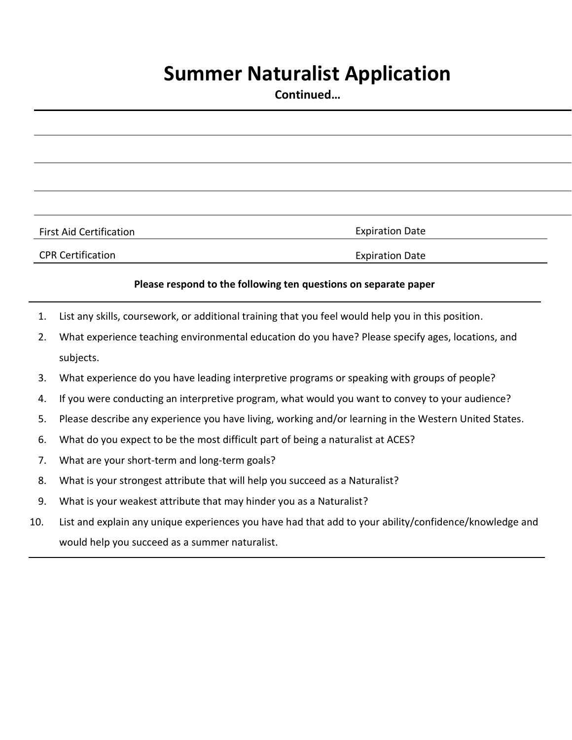## **Summer Naturalist Application**

**Continued…**

First Aid Certification **Expiration** Expiration Date **CPR Certification Expiration Expiration Date** 

#### **Please respond to the following ten questions on separate paper**

- 1. List any skills, coursework, or additional training that you feel would help you in this position.
- 2. What experience teaching environmental education do you have? Please specify ages, locations, and subjects.
- 3. What experience do you have leading interpretive programs or speaking with groups of people?
- 4. If you were conducting an interpretive program, what would you want to convey to your audience?
- 5. Please describe any experience you have living, working and/or learning in the Western United States.
- 6. What do you expect to be the most difficult part of being a naturalist at ACES?
- 7. What are your short-term and long-term goals?
- 8. What is your strongest attribute that will help you succeed as a Naturalist?
- 9. What is your weakest attribute that may hinder you as a Naturalist?
- 10. List and explain any unique experiences you have had that add to your ability/confidence/knowledge and would help you succeed as a summer naturalist.